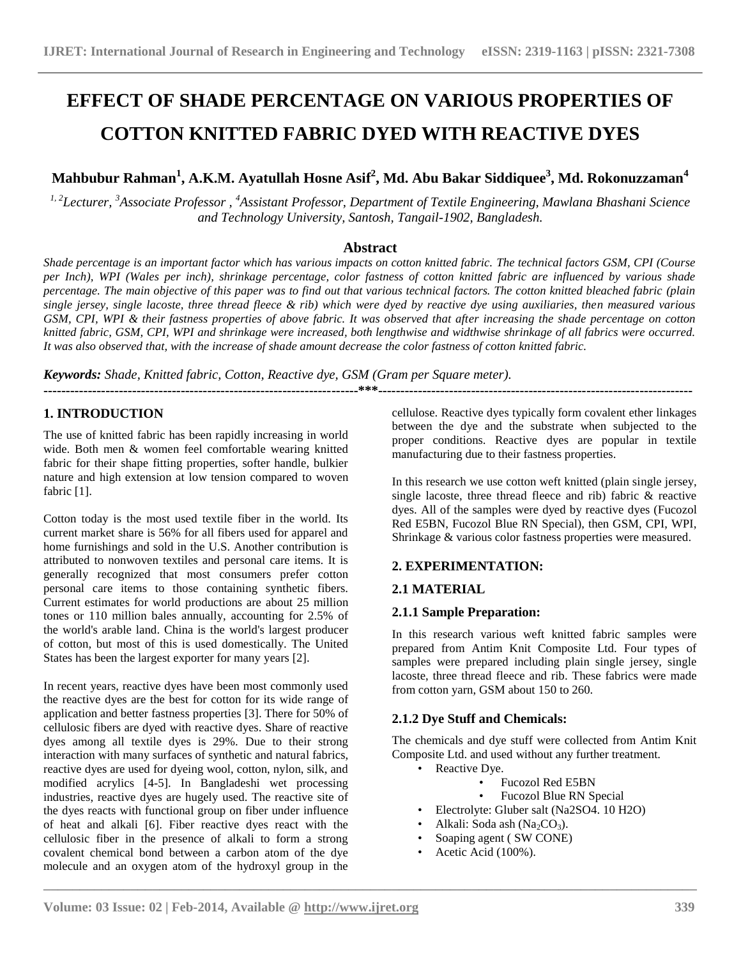# **EFFECT OF SHADE PERCENTAGE ON VARIOUS PROPERTIES OF COTTON KNITTED FABRIC DYED WITH REACTIVE DYES**

# **Mahbubur Rahman<sup>1</sup> , A.K.M. Ayatullah Hosne Asif 2 , Md. Abu Bakar Siddiquee 3 , Md. Rokonuzzaman<sup>4</sup>**

*1, 2Lecturer, <sup>3</sup>Associate Professor , <sup>4</sup>Assistant Professor, Department of Textile Engineering, Mawlana Bhashani Science and Technology University, Santosh, Tangail-1902, Bangladesh.* 

# **Abstract**

*Shade percentage is an important factor which has various impacts on cotton knitted fabric. The technical factors GSM, CPI (Course per Inch), WPI (Wales per inch), shrinkage percentage, color fastness of cotton knitted fabric are influenced by various shade percentage. The main objective of this paper was to find out that various technical factors. The cotton knitted bleached fabric (plain single jersey, single lacoste, three thread fleece & rib) which were dyed by reactive dye using auxiliaries, then measured various GSM, CPI, WPI & their fastness properties of above fabric. It was observed that after increasing the shade percentage on cotton knitted fabric, GSM, CPI, WPI and shrinkage were increased, both lengthwise and widthwise shrinkage of all fabrics were occurred. It was also observed that, with the increase of shade amount decrease the color fastness of cotton knitted fabric.*

**-----------------------------------------------------------------------\*\*\*-----------------------------------------------------------------------**

*Keywords: Shade, Knitted fabric, Cotton, Reactive dye, GSM (Gram per Square meter).*

# **1. INTRODUCTION**

The use of knitted fabric has been rapidly increasing in world wide. Both men & women feel comfortable wearing knitted fabric for their shape fitting properties, softer handle, bulkier nature and high extension at low tension compared to woven fabric [1].

Cotton today is the most used textile fiber in the world. Its current market share is 56% for all fibers used for apparel and home furnishings and sold in the U.S. Another contribution is attributed to nonwoven textiles and personal care items. It is generally recognized that most consumers prefer cotton personal care items to those containing synthetic fibers. Current estimates for world productions are about 25 million tones or 110 million bales annually, accounting for 2.5% of the world's arable land. China is the world's largest producer of cotton, but most of this is used domestically. The United States has been the largest exporter for many years [2].

In recent years, reactive dyes have been most commonly used the reactive dyes are the best for cotton for its wide range of application and better fastness properties [3]. There for 50% of cellulosic fibers are dyed with reactive dyes. Share of reactive dyes among all textile dyes is 29%. Due to their strong interaction with many surfaces of synthetic and natural fabrics, reactive dyes are used for dyeing wool, cotton, nylon, silk, and modified acrylics [4-5]. In Bangladeshi wet processing industries, reactive dyes are hugely used. The reactive site of the dyes reacts with functional group on fiber under influence of heat and alkali [6]. Fiber reactive dyes react with the cellulosic fiber in the presence of alkali to form a strong covalent chemical bond between a carbon atom of the dye molecule and an oxygen atom of the hydroxyl group in the

cellulose. Reactive dyes typically form covalent ether linkages between the dye and the substrate when subjected to the proper conditions. Reactive dyes are popular in textile manufacturing due to their fastness properties.

In this research we use cotton weft knitted (plain single jersey, single lacoste, three thread fleece and rib) fabric  $\&$  reactive dyes. All of the samples were dyed by reactive dyes (Fucozol Red E5BN, Fucozol Blue RN Special), then GSM, CPI, WPI, Shrinkage & various color fastness properties were measured.

# **2. EXPERIMENTATION:**

# **2.1 MATERIAL**

#### **2.1.1 Sample Preparation:**

In this research various weft knitted fabric samples were prepared from Antim Knit Composite Ltd. Four types of samples were prepared including plain single jersey, single lacoste, three thread fleece and rib. These fabrics were made from cotton yarn, GSM about 150 to 260.

# **2.1.2 Dye Stuff and Chemicals:**

The chemicals and dye stuff were collected from Antim Knit Composite Ltd. and used without any further treatment.

- Reactive Dve.
	- Fucozol Red E5BN<br>• Fucozol Blue RN St
	- Fucozol Blue RN Special
- Electrolyte: Gluber salt (Na2SO4. 10 H2O)
- Alkali: Soda ash (Na<sub>2</sub>CO<sub>3</sub>).
- Soaping agent ( SW CONE)
- Acetic Acid (100%).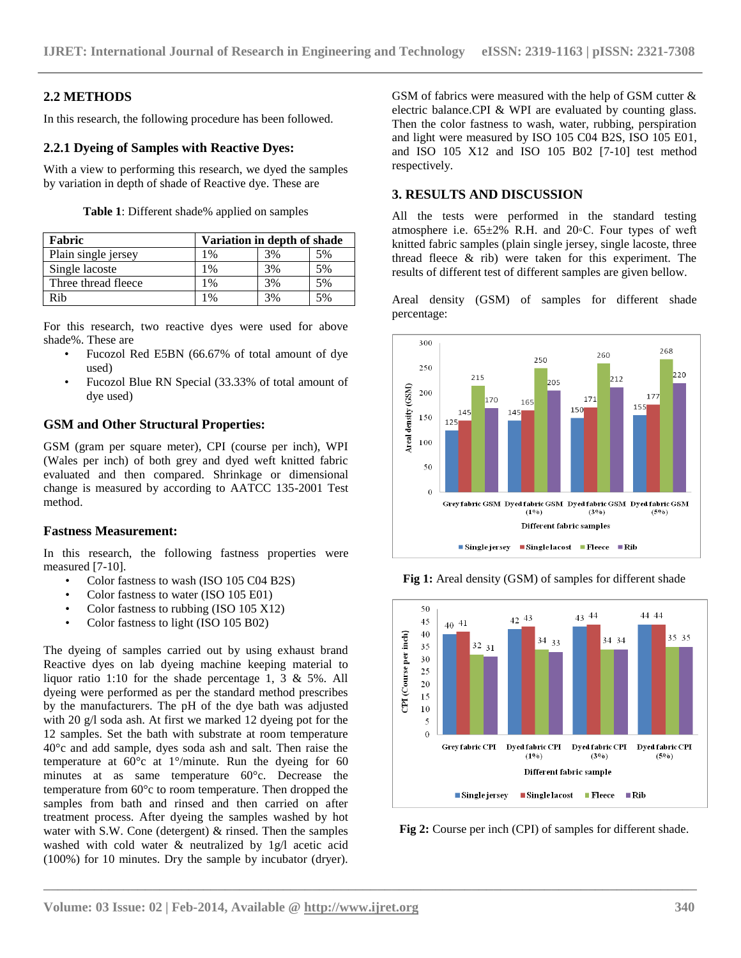# **2.2 METHODS**

In this research, the following procedure has been followed.

#### **2.2.1 Dyeing of Samples with Reactive Dyes:**

With a view to performing this research, we dyed the samples by variation in depth of shade of Reactive dye. These are

| Table 1: Different shade% applied on samples |  |  |
|----------------------------------------------|--|--|
|----------------------------------------------|--|--|

| Fabric              | Variation in depth of shade |    |    |  |
|---------------------|-----------------------------|----|----|--|
| Plain single jersey | 1%                          | 3% | 5% |  |
| Single lacoste      | 1%                          | 3% | 5% |  |
| Three thread fleece | $1\%$                       | 3% | 5% |  |
| Rih                 | 1%                          | 3% | 5% |  |

For this research, two reactive dyes were used for above shade%. These are

- Fucozol Red E5BN (66.67% of total amount of dye used)
- Fucozol Blue RN Special (33.33% of total amount of dye used)

#### **GSM and Other Structural Properties:**

GSM (gram per square meter), CPI (course per inch), WPI (Wales per inch) of both grey and dyed weft knitted fabric evaluated and then compared. Shrinkage or dimensional change is measured by according to AATCC 135-2001 Test method.

# **Fastness Measurement:**

In this research, the following fastness properties were measured [7-10].

- Color fastness to wash (ISO 105 C04 B2S)
- Color fastness to water (ISO 105 E01)
- Color fastness to rubbing (ISO 105 X12)
- Color fastness to light (ISO 105 B02)

The dyeing of samples carried out by using exhaust brand Reactive dyes on lab dyeing machine keeping material to liquor ratio 1:10 for the shade percentage 1, 3 & 5%. All dyeing were performed as per the standard method prescribes by the manufacturers. The pH of the dye bath was adjusted with 20 g/l soda ash. At first we marked 12 dyeing pot for the 12 samples. Set the bath with substrate at room temperature 40°c and add sample, dyes soda ash and salt. Then raise the temperature at  $60^{\circ}$ c at  $1^{\circ}/$ minute. Run the dyeing for 60 minutes at as same temperature 60°c. Decrease the temperature from 60°c to room temperature. Then dropped the samples from bath and rinsed and then carried on after treatment process. After dyeing the samples washed by hot water with S.W. Cone (detergent) & rinsed. Then the samples washed with cold water & neutralized by 1g/l acetic acid (100%) for 10 minutes. Dry the sample by incubator (dryer).

GSM of fabrics were measured with the help of GSM cutter & electric balance.CPI & WPI are evaluated by counting glass. Then the color fastness to wash, water, rubbing, perspiration and light were measured by ISO 105 C04 B2S, ISO 105 E01, and ISO 105 X12 and ISO 105 B02 [7-10] test method respectively.

# **3. RESULTS AND DISCUSSION**

All the tests were performed in the standard testing atmosphere i.e.  $65\pm2\%$  R.H. and  $20\degree$ C. Four types of weft knitted fabric samples (plain single jersey, single lacoste, three thread fleece & rib) were taken for this experiment. The results of different test of different samples are given bellow.

Areal density (GSM) of samples for different shade percentage:



**Fig 1:** Areal density (GSM) of samples for different shade



**Fig 2:** Course per inch (CPI) of samples for different shade.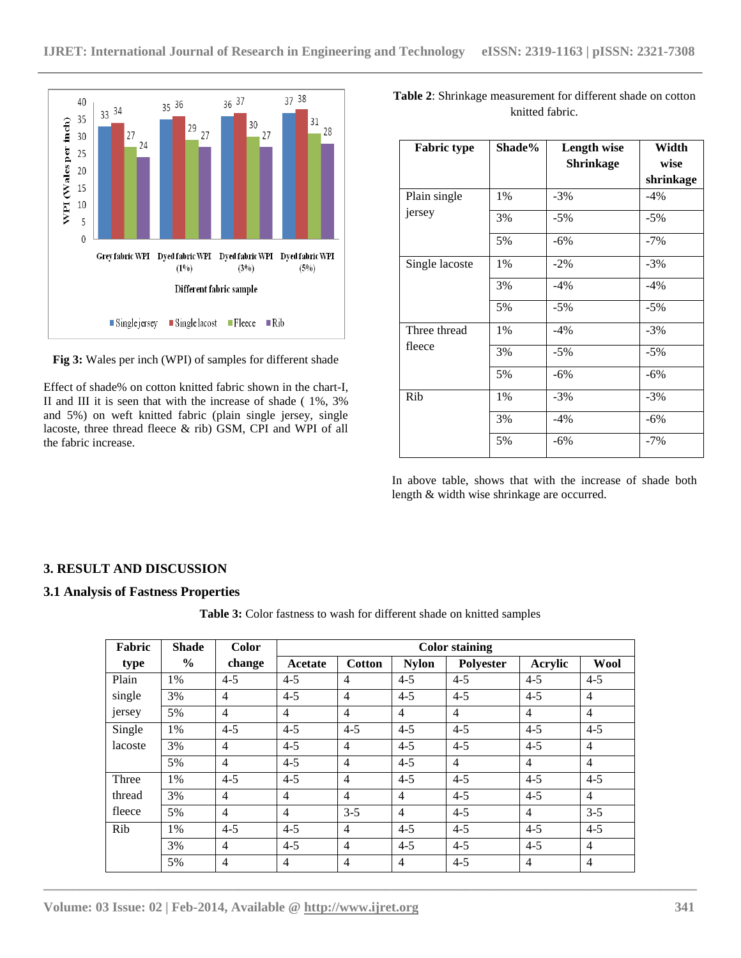

**Fig 3:** Wales per inch (WPI) of samples for different shade

Effect of shade% on cotton knitted fabric shown in the chart-I, II and III it is seen that with the increase of shade ( 1%, 3% and 5%) on weft knitted fabric (plain single jersey, single lacoste, three thread fleece & rib) GSM, CPI and WPI of all the fabric increase.

| Table 2: Shrinkage measurement for different shade on cotton |
|--------------------------------------------------------------|
| knitted fabric.                                              |

| <b>Fabric type</b> | Shade% | <b>Length wise</b> | Width     |
|--------------------|--------|--------------------|-----------|
|                    |        | <b>Shrinkage</b>   | wise      |
|                    |        |                    | shrinkage |
| Plain single       | 1%     | $-3%$              | $-4\%$    |
| jersey             | 3%     | $-5%$              | $-5%$     |
|                    | 5%     | $-6\%$             | $-7%$     |
| Single lacoste     | 1%     | $-2%$              | $-3%$     |
|                    | 3%     | $-4%$              | $-4%$     |
|                    | 5%     | $-5%$              | $-5%$     |
| Three thread       | 1%     | $-4%$              | $-3%$     |
| fleece             | 3%     | $-5%$              | $-5%$     |
|                    | 5%     | $-6\%$             | $-6%$     |
| Rib                | 1%     | $-3%$              | $-3%$     |
|                    | 3%     | $-4%$              | $-6%$     |
|                    | 5%     | $-6%$              | $-7%$     |
|                    |        |                    |           |

In above table, shows that with the increase of shade both length & width wise shrinkage are occurred.

# **3. RESULT AND DISCUSSION**

#### **3.1 Analysis of Fastness Properties**

**Table 3:** Color fastness to wash for different shade on knitted samples

| Fabric  | <b>Shade</b>  | <b>Color</b>   | <b>Color staining</b> |                |                |                |                |                |
|---------|---------------|----------------|-----------------------|----------------|----------------|----------------|----------------|----------------|
| type    | $\frac{6}{6}$ | change         | Acetate               | <b>Cotton</b>  | <b>Nylon</b>   | Polyester      | Acrylic        | Wool           |
| Plain   | 1%            | $4 - 5$        | $4 - 5$               | $\overline{4}$ | $4 - 5$        | $4 - 5$        | $4 - 5$        | $4 - 5$        |
| single  | 3%            | $\overline{4}$ | $4 - 5$               | $\overline{4}$ | $4 - 5$        | $4 - 5$        | $4 - 5$        | $\overline{4}$ |
| jersey  | 5%            | $\overline{4}$ | $\overline{4}$        | $\overline{4}$ | $\overline{4}$ | $\overline{4}$ | $\overline{4}$ | $\overline{4}$ |
| Single  | 1%            | $4 - 5$        | $4 - 5$               | $4 - 5$        | $4 - 5$        | $4 - 5$        | $4 - 5$        | $4 - 5$        |
| lacoste | 3%            | $\overline{4}$ | $4 - 5$               | $\overline{4}$ | $4 - 5$        | $4 - 5$        | $4 - 5$        | $\overline{4}$ |
|         | 5%            | $\overline{4}$ | $4 - 5$               | $\overline{4}$ | $4 - 5$        | $\overline{4}$ | $\overline{4}$ | $\overline{4}$ |
| Three   | 1%            | $4 - 5$        | $4 - 5$               | $\overline{4}$ | $4 - 5$        | $4 - 5$        | $4 - 5$        | $4 - 5$        |
| thread  | 3%            | $\overline{4}$ | $\overline{4}$        | $\overline{4}$ | $\overline{4}$ | $4 - 5$        | $4 - 5$        | $\overline{4}$ |
| fleece  | 5%            | $\overline{4}$ | $\overline{4}$        | $3 - 5$        | $\overline{4}$ | $4 - 5$        | $\overline{4}$ | $3 - 5$        |
| Rib     | 1%            | $4 - 5$        | $4 - 5$               | $\overline{4}$ | $4 - 5$        | $4 - 5$        | $4 - 5$        | $4 - 5$        |
|         | 3%            | $\overline{4}$ | $4 - 5$               | $\overline{4}$ | $4 - 5$        | $4 - 5$        | $4 - 5$        | $\overline{4}$ |
|         | 5%            | $\overline{4}$ | $\overline{4}$        | $\overline{4}$ | $\overline{4}$ | $4 - 5$        | $\overline{4}$ | $\overline{4}$ |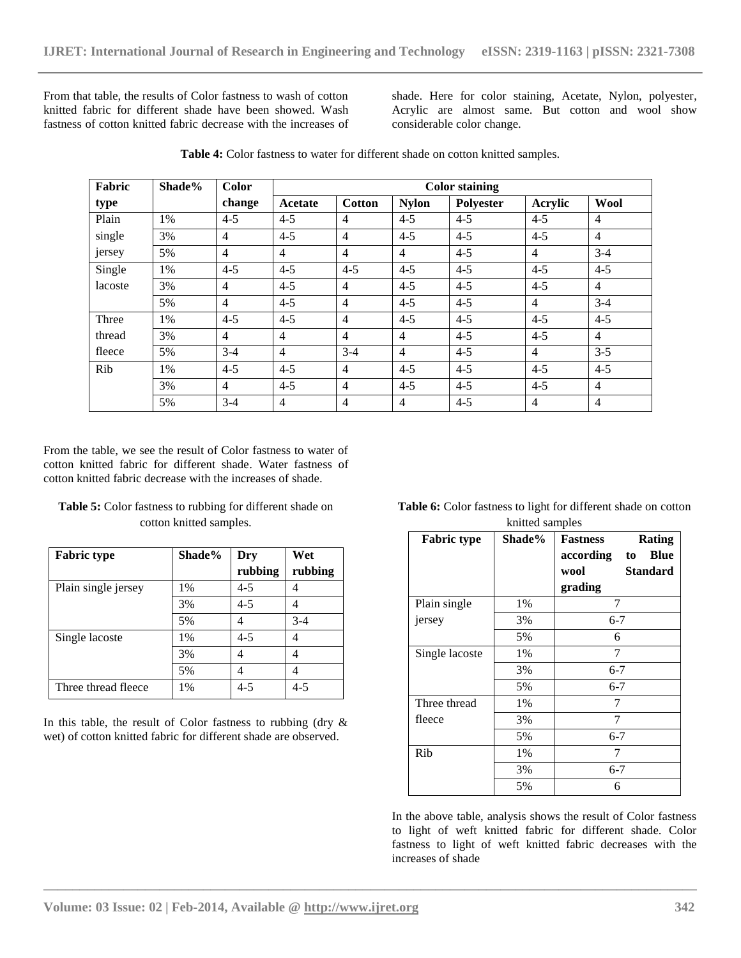From that table, the results of Color fastness to wash of cotton knitted fabric for different shade have been showed. Wash fastness of cotton knitted fabric decrease with the increases of

shade. Here for color staining, Acetate, Nylon, polyester, Acrylic are almost same. But cotton and wool show considerable color change.

| Fabric  | Shade% | Color          | <b>Color staining</b> |                |                |                  |                |                |
|---------|--------|----------------|-----------------------|----------------|----------------|------------------|----------------|----------------|
| type    |        | change         | Acetate               | <b>Cotton</b>  | <b>Nylon</b>   | <b>Polyester</b> | Acrylic        | <b>Wool</b>    |
| Plain   | 1%     | $4 - 5$        | $4 - 5$               | $\overline{4}$ | $4 - 5$        | $4 - 5$          | $4 - 5$        | $\overline{4}$ |
| single  | 3%     | $\overline{4}$ | $4 - 5$               | $\overline{4}$ | $4 - 5$        | $4 - 5$          | $4 - 5$        | $\overline{4}$ |
| jersey  | 5%     | $\overline{4}$ | $\overline{4}$        | $\overline{4}$ | $\overline{4}$ | $4 - 5$          | $\overline{4}$ | $3 - 4$        |
| Single  | 1%     | $4 - 5$        | $4 - 5$               | $4 - 5$        | $4 - 5$        | $4 - 5$          | $4 - 5$        | $4 - 5$        |
| lacoste | 3%     | $\overline{4}$ | $4 - 5$               | $\overline{4}$ | $4 - 5$        | $4 - 5$          | $4 - 5$        | $\overline{4}$ |
|         | 5%     | $\overline{4}$ | $4 - 5$               | $\overline{4}$ | $4 - 5$        | $4 - 5$          | $\overline{4}$ | $3-4$          |
| Three   | 1%     | $4 - 5$        | $4 - 5$               | $\overline{4}$ | $4 - 5$        | $4 - 5$          | $4 - 5$        | $4 - 5$        |
| thread  | 3%     | $\overline{4}$ | $\overline{4}$        | $\overline{4}$ | $\overline{4}$ | $4 - 5$          | $4 - 5$        | $\overline{4}$ |
| fleece  | 5%     | $3-4$          | $\overline{4}$        | $3-4$          | $\overline{4}$ | $4 - 5$          | $\overline{4}$ | $3 - 5$        |
| Rib     | 1%     | $4 - 5$        | $4 - 5$               | $\overline{4}$ | $4 - 5$        | $4 - 5$          | $4 - 5$        | $4 - 5$        |
|         | 3%     | $\overline{4}$ | $4 - 5$               | $\overline{4}$ | $4 - 5$        | $4 - 5$          | $4 - 5$        | $\overline{4}$ |
|         | 5%     | $3 - 4$        | $\overline{4}$        | $\overline{4}$ | $\overline{4}$ | $4 - 5$          | $\overline{4}$ | $\overline{4}$ |

**\_\_\_\_\_\_\_\_\_\_\_\_\_\_\_\_\_\_\_\_\_\_\_\_\_\_\_\_\_\_\_\_\_\_\_\_\_\_\_\_\_\_\_\_\_\_\_\_\_\_\_\_\_\_\_\_\_\_\_\_\_\_\_\_\_\_\_\_\_\_\_\_\_\_\_\_\_\_\_\_\_\_\_\_\_\_\_\_\_\_**

Table 4: Color fastness to water for different shade on cotton knitted samples.

From the table, we see the result of Color fastness to water of cotton knitted fabric for different shade. Water fastness of cotton knitted fabric decrease with the increases of shade.

Table 5: Color fastness to rubbing for different shade on cotton knitted samples.

| <b>Fabric type</b>  | Shade% | Dry     | Wet     |
|---------------------|--------|---------|---------|
|                     |        | rubbing | rubbing |
| Plain single jersey | 1%     | 4-5     |         |
|                     | 3%     | $4 - 5$ |         |
|                     | 5%     |         | $3-4$   |
| Single lacoste      | 1%     | 4-5     |         |
|                     | 3%     |         |         |
|                     | 5%     |         |         |
| Three thread fleece | 1%     | $4 - 5$ | 4-5     |

In this table, the result of Color fastness to rubbing (dry  $\&$ wet) of cotton knitted fabric for different shade are observed.

| <b>Table 6:</b> Color fastness to light for different shade on cotton |
|-----------------------------------------------------------------------|
| knitted samples                                                       |

| <b>Fabric type</b> | Shade% | <b>Rating</b><br><b>Fastness</b><br>according<br><b>Blue</b><br>to |
|--------------------|--------|--------------------------------------------------------------------|
|                    |        | wool<br><b>Standard</b>                                            |
|                    |        | grading                                                            |
| Plain single       | 1%     |                                                                    |
| jersey             | 3%     | $6 - 7$                                                            |
|                    | 5%     | 6                                                                  |
| Single lacoste     | 1%     | 7                                                                  |
|                    | 3%     | $6 - 7$                                                            |
|                    | 5%     | $6 - 7$                                                            |
| Three thread       | 1%     | 7                                                                  |
| fleece             | 3%     | 7                                                                  |
|                    | 5%     | $6 - 7$                                                            |
| Rib                | 1%     | 7                                                                  |
|                    | 3%     | $6 - 7$                                                            |
|                    | 5%     | 6                                                                  |

In the above table, analysis shows the result of Color fastness to light of weft knitted fabric for different shade. Color fastness to light of weft knitted fabric decreases with the increases of shade